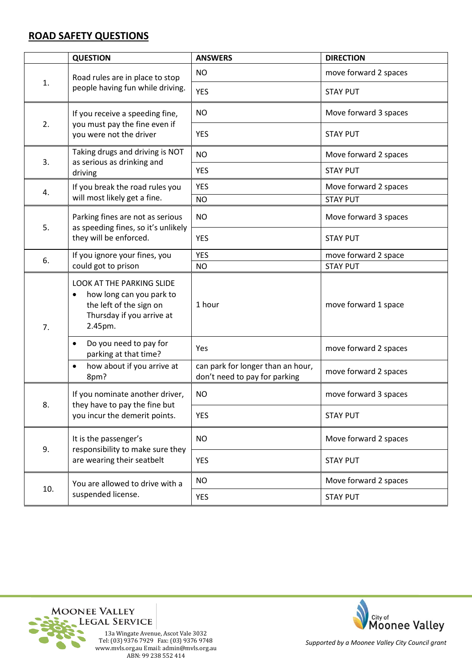## **ROAD SAFETY QUESTIONS**

|     | <b>QUESTION</b>                                                                                                                 | <b>ANSWERS</b>                                                     | <b>DIRECTION</b>      |
|-----|---------------------------------------------------------------------------------------------------------------------------------|--------------------------------------------------------------------|-----------------------|
| 1.  | Road rules are in place to stop<br>people having fun while driving.                                                             | <b>NO</b>                                                          | move forward 2 spaces |
|     |                                                                                                                                 | <b>YES</b>                                                         | <b>STAY PUT</b>       |
| 2.  | If you receive a speeding fine,<br>you must pay the fine even if<br>you were not the driver                                     | <b>NO</b>                                                          | Move forward 3 spaces |
|     |                                                                                                                                 | <b>YES</b>                                                         | <b>STAY PUT</b>       |
| 3.  | Taking drugs and driving is NOT<br>as serious as drinking and<br>driving                                                        | <b>NO</b>                                                          | Move forward 2 spaces |
|     |                                                                                                                                 | <b>YES</b>                                                         | <b>STAY PUT</b>       |
| 4.  | If you break the road rules you<br>will most likely get a fine.                                                                 | <b>YES</b>                                                         | Move forward 2 spaces |
|     |                                                                                                                                 | <b>NO</b>                                                          | <b>STAY PUT</b>       |
| 5.  | Parking fines are not as serious<br>as speeding fines, so it's unlikely<br>they will be enforced.                               | <b>NO</b>                                                          | Move forward 3 spaces |
|     |                                                                                                                                 | <b>YES</b>                                                         | <b>STAY PUT</b>       |
| 6.  | If you ignore your fines, you<br>could got to prison                                                                            | <b>YES</b>                                                         | move forward 2 space  |
|     |                                                                                                                                 | <b>NO</b>                                                          | <b>STAY PUT</b>       |
| 7.  | <b>LOOK AT THE PARKING SLIDE</b><br>how long can you park to<br>the left of the sign on<br>Thursday if you arrive at<br>2.45pm. | 1 hour                                                             | move forward 1 space  |
|     | Do you need to pay for<br>$\bullet$<br>parking at that time?                                                                    | Yes                                                                | move forward 2 spaces |
|     | how about if you arrive at<br>$\bullet$<br>8pm?                                                                                 | can park for longer than an hour,<br>don't need to pay for parking | move forward 2 spaces |
| 8.  | If you nominate another driver,<br>they have to pay the fine but<br>you incur the demerit points.                               | <b>NO</b>                                                          | move forward 3 spaces |
|     |                                                                                                                                 | <b>YES</b>                                                         | <b>STAY PUT</b>       |
| 9.  | It is the passenger's<br>responsibility to make sure they<br>are wearing their seatbelt                                         | <b>NO</b>                                                          | Move forward 2 spaces |
|     |                                                                                                                                 | <b>YES</b>                                                         | <b>STAY PUT</b>       |
| 10. | You are allowed to drive with a<br>suspended license.                                                                           | <b>NO</b>                                                          | Move forward 2 spaces |
|     |                                                                                                                                 | <b>YES</b>                                                         | <b>STAY PUT</b>       |



13a Wingate Avenue, Ascot Vale 3032 Tel: (03) 9376 7929 Fax: (03) 9376 9748 www.mvls.org.au Email: admin@mvls.org.au ABN: 99 238 552 414



*Supported by a Moonee Valley City Council grant*